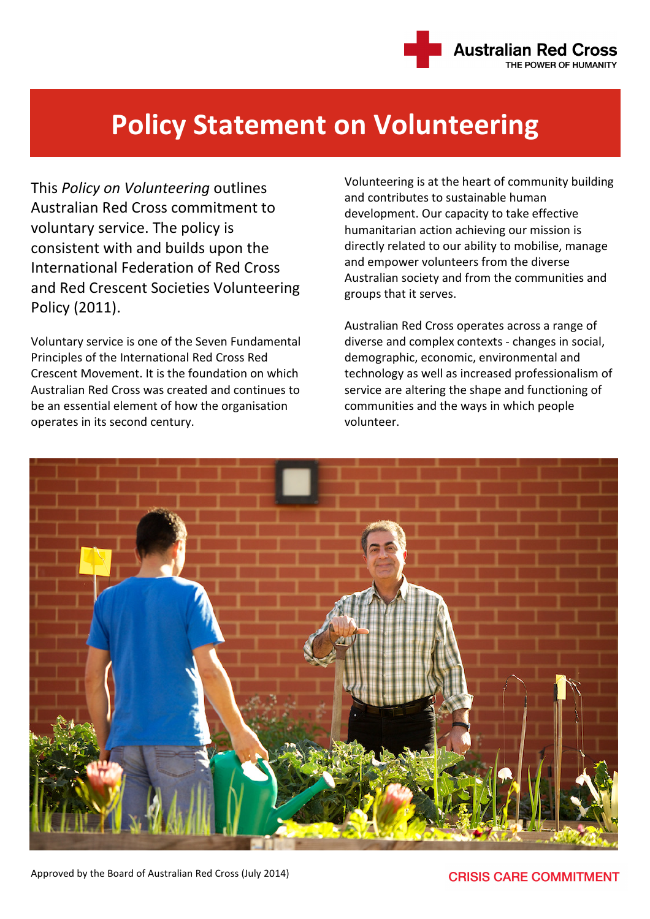

## Policy Statement on Volunteering

This Policy on Volunteering outlines Australian Red Cross commitment to voluntary service. The policy is consistent with and builds upon the International Federation of Red Cross and Red Crescent Societies Volunteering Policy (2011).

Voluntary service is one of the Seven Fundamental Principles of the International Red Cross Red Crescent Movement. It is the foundation on which Australian Red Cross was created and continues to be an essential element of how the organisation operates in its second century.

Volunteering is at the heart of community building and contributes to sustainable human development. Our capacity to take effective humanitarian action achieving our mission is directly related to our ability to mobilise, manage and empower volunteers from the diverse Australian society and from the communities and groups that it serves.

Australian Red Cross operates across a range of diverse and complex contexts - changes in social, demographic, economic, environmental and technology as well as increased professionalism of service are altering the shape and functioning of communities and the ways in which people volunteer.